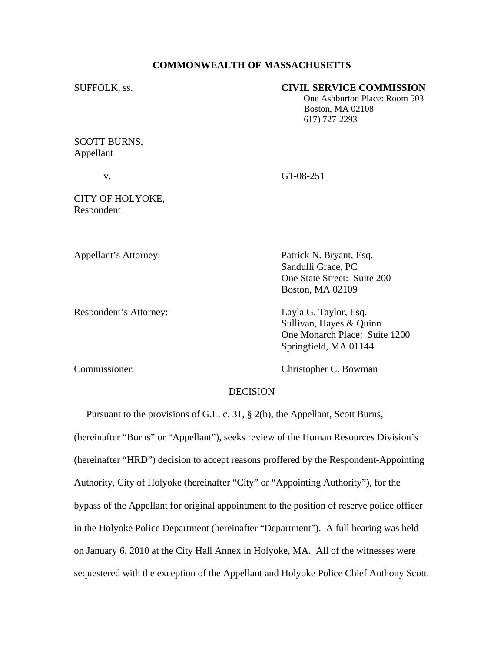### **COMMONWEALTH OF MASSACHUSETTS**

## SUFFOLK, ss. **CIVIL SERVICE COMMISSION**

 One Ashburton Place: Room 503 Boston, MA 02108 617) 727-2293

## SCOTT BURNS, Appellant

v. G1-08-251

# CITY OF HOLYOKE, Respondent

Appellant's Attorney: Patrick N. Bryant, Esq.

Respondent's Attorney: Layla G. Taylor, Esq.

 Sandulli Grace, PC One State Street: Suite 200 Boston, MA 02109

 Sullivan, Hayes & Quinn One Monarch Place: Suite 1200 Springfield, MA 01144

Commissioner: Christopher C. Bowman

#### **DECISION**

 Pursuant to the provisions of G.L. c. 31, § 2(b), the Appellant, Scott Burns, (hereinafter "Burns" or "Appellant"), seeks review of the Human Resources Division's (hereinafter "HRD") decision to accept reasons proffered by the Respondent-Appointing Authority, City of Holyoke (hereinafter "City" or "Appointing Authority"), for the bypass of the Appellant for original appointment to the position of reserve police officer in the Holyoke Police Department (hereinafter "Department"). A full hearing was held on January 6, 2010 at the City Hall Annex in Holyoke, MA. All of the witnesses were sequestered with the exception of the Appellant and Holyoke Police Chief Anthony Scott.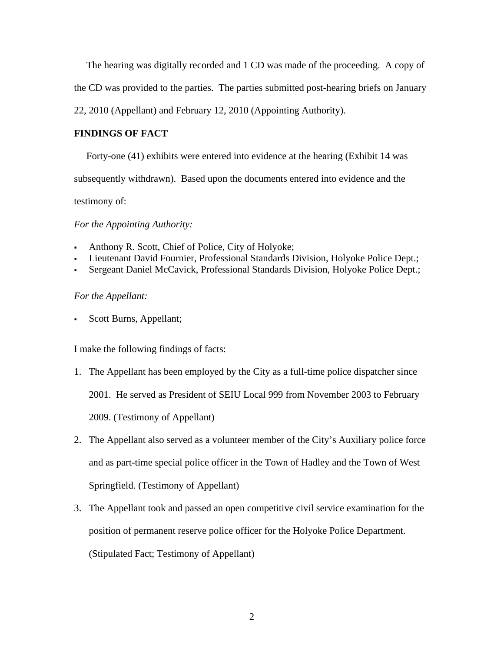The hearing was digitally recorded and 1 CD was made of the proceeding. A copy of

the CD was provided to the parties. The parties submitted post-hearing briefs on January

22, 2010 (Appellant) and February 12, 2010 (Appointing Authority).

# **FINDINGS OF FACT**

Forty-one (41) exhibits were entered into evidence at the hearing (Exhibit 14 was

subsequently withdrawn). Based upon the documents entered into evidence and the

testimony of:

*For the Appointing Authority:* 

- Anthony R. Scott, Chief of Police, City of Holyoke;
- Lieutenant David Fournier, Professional Standards Division, Holyoke Police Dept.;
- Sergeant Daniel McCavick, Professional Standards Division, Holyoke Police Dept.;

## *For the Appellant:*

Scott Burns, Appellant;

I make the following findings of facts:

- 1. The Appellant has been employed by the City as a full-time police dispatcher since 2001. He served as President of SEIU Local 999 from November 2003 to February 2009. (Testimony of Appellant)
- 2. The Appellant also served as a volunteer member of the City's Auxiliary police force and as part-time special police officer in the Town of Hadley and the Town of West Springfield. (Testimony of Appellant)
- 3. The Appellant took and passed an open competitive civil service examination for the position of permanent reserve police officer for the Holyoke Police Department. (Stipulated Fact; Testimony of Appellant)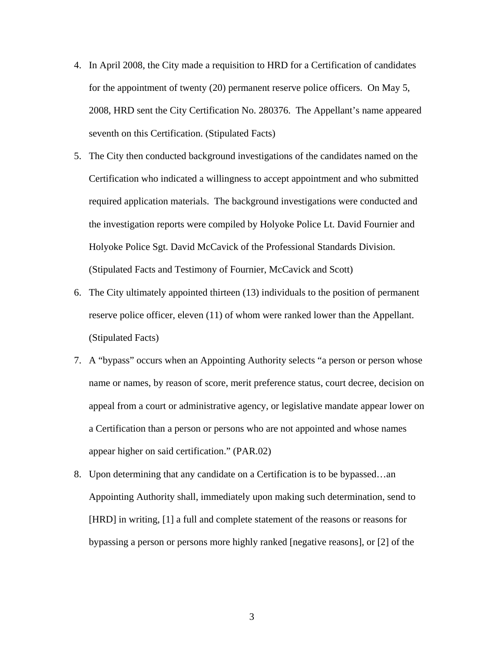- 4. In April 2008, the City made a requisition to HRD for a Certification of candidates for the appointment of twenty (20) permanent reserve police officers. On May 5, 2008, HRD sent the City Certification No. 280376. The Appellant's name appeared seventh on this Certification. (Stipulated Facts)
- 5. The City then conducted background investigations of the candidates named on the Certification who indicated a willingness to accept appointment and who submitted required application materials. The background investigations were conducted and the investigation reports were compiled by Holyoke Police Lt. David Fournier and Holyoke Police Sgt. David McCavick of the Professional Standards Division. (Stipulated Facts and Testimony of Fournier, McCavick and Scott)
- 6. The City ultimately appointed thirteen (13) individuals to the position of permanent reserve police officer, eleven (11) of whom were ranked lower than the Appellant. (Stipulated Facts)
- 7. A "bypass" occurs when an Appointing Authority selects "a person or person whose name or names, by reason of score, merit preference status, court decree, decision on appeal from a court or administrative agency, or legislative mandate appear lower on a Certification than a person or persons who are not appointed and whose names appear higher on said certification." (PAR.02)
- 8. Upon determining that any candidate on a Certification is to be bypassed…an Appointing Authority shall, immediately upon making such determination, send to [HRD] in writing, [1] a full and complete statement of the reasons or reasons for bypassing a person or persons more highly ranked [negative reasons], or [2] of the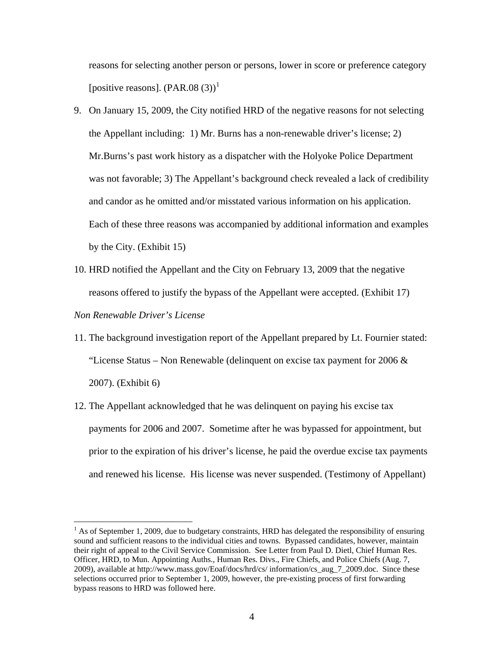reasons for selecting another person or persons, lower in score or preference category [positive reasons].  $(PAR.08(3))^1$  $(PAR.08(3))^1$ 

- 9. On January 15, 2009, the City notified HRD of the negative reasons for not selecting the Appellant including: 1) Mr. Burns has a non-renewable driver's license; 2) Mr.Burns's past work history as a dispatcher with the Holyoke Police Department was not favorable; 3) The Appellant's background check revealed a lack of credibility and candor as he omitted and/or misstated various information on his application. Each of these three reasons was accompanied by additional information and examples by the City. (Exhibit 15)
- 10. HRD notified the Appellant and the City on February 13, 2009 that the negative reasons offered to justify the bypass of the Appellant were accepted. (Exhibit 17)

#### *Non Renewable Driver's License*

 $\overline{a}$ 

- 11. The background investigation report of the Appellant prepared by Lt. Fournier stated: "License Status – Non Renewable (delinquent on excise tax payment for 2006  $\&$ 2007). (Exhibit 6)
- 12. The Appellant acknowledged that he was delinquent on paying his excise tax payments for 2006 and 2007. Sometime after he was bypassed for appointment, but prior to the expiration of his driver's license, he paid the overdue excise tax payments and renewed his license. His license was never suspended. (Testimony of Appellant)

<span id="page-3-0"></span> $<sup>1</sup>$  As of September 1, 2009, due to budgetary constraints, HRD has delegated the responsibility of ensuring</sup> sound and sufficient reasons to the individual cities and towns. Bypassed candidates, however, maintain their right of appeal to the Civil Service Commission. See Letter from Paul D. Dietl, Chief Human Res. Officer, HRD, to Mun. Appointing Auths., Human Res. Divs., Fire Chiefs, and Police Chiefs (Aug. 7, 2009), available at http://www.mass.gov/Eoaf/docs/hrd/cs/ information/cs\_aug\_7\_2009.doc. Since these selections occurred prior to September 1, 2009, however, the pre-existing process of first forwarding bypass reasons to HRD was followed here.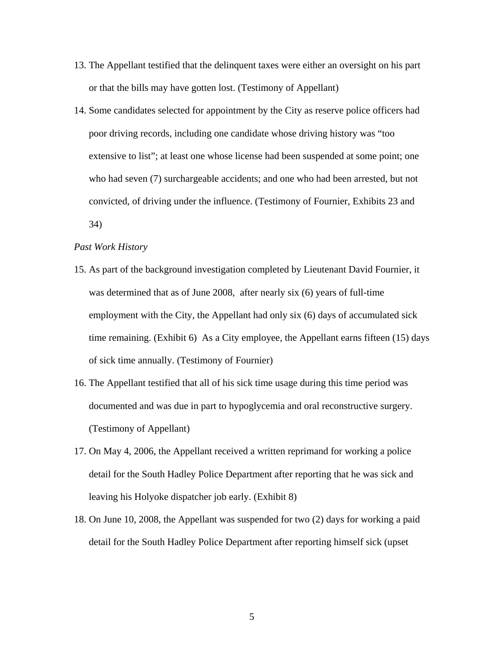- 13. The Appellant testified that the delinquent taxes were either an oversight on his part or that the bills may have gotten lost. (Testimony of Appellant)
- 14. Some candidates selected for appointment by the City as reserve police officers had poor driving records, including one candidate whose driving history was "too extensive to list"; at least one whose license had been suspended at some point; one who had seven (7) surchargeable accidents; and one who had been arrested, but not convicted, of driving under the influence. (Testimony of Fournier, Exhibits 23 and 34)

#### *Past Work History*

- 15. As part of the background investigation completed by Lieutenant David Fournier, it was determined that as of June 2008, after nearly six (6) years of full-time employment with the City, the Appellant had only six (6) days of accumulated sick time remaining. (Exhibit 6) As a City employee, the Appellant earns fifteen (15) days of sick time annually. (Testimony of Fournier)
- 16. The Appellant testified that all of his sick time usage during this time period was documented and was due in part to hypoglycemia and oral reconstructive surgery. (Testimony of Appellant)
- 17. On May 4, 2006, the Appellant received a written reprimand for working a police detail for the South Hadley Police Department after reporting that he was sick and leaving his Holyoke dispatcher job early. (Exhibit 8)
- 18. On June 10, 2008, the Appellant was suspended for two (2) days for working a paid detail for the South Hadley Police Department after reporting himself sick (upset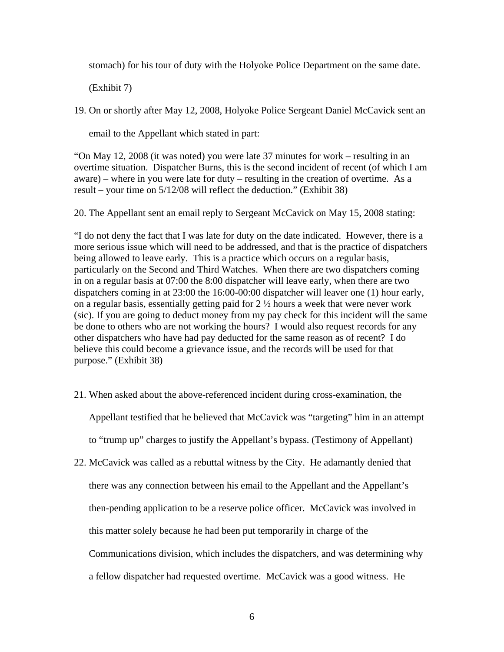stomach) for his tour of duty with the Holyoke Police Department on the same date.

(Exhibit 7)

19. On or shortly after May 12, 2008, Holyoke Police Sergeant Daniel McCavick sent an

email to the Appellant which stated in part:

"On May 12, 2008 (it was noted) you were late 37 minutes for work – resulting in an overtime situation. Dispatcher Burns, this is the second incident of recent (of which I am aware) – where in you were late for duty – resulting in the creation of overtime. As a result – your time on 5/12/08 will reflect the deduction." (Exhibit 38)

20. The Appellant sent an email reply to Sergeant McCavick on May 15, 2008 stating:

"I do not deny the fact that I was late for duty on the date indicated. However, there is a more serious issue which will need to be addressed, and that is the practice of dispatchers being allowed to leave early. This is a practice which occurs on a regular basis, particularly on the Second and Third Watches. When there are two dispatchers coming in on a regular basis at 07:00 the 8:00 dispatcher will leave early, when there are two dispatchers coming in at 23:00 the 16:00-00:00 dispatcher will leaver one (1) hour early, on a regular basis, essentially getting paid for 2 ½ hours a week that were never work (sic). If you are going to deduct money from my pay check for this incident will the same be done to others who are not working the hours? I would also request records for any other dispatchers who have had pay deducted for the same reason as of recent? I do believe this could become a grievance issue, and the records will be used for that purpose." (Exhibit 38)

21. When asked about the above-referenced incident during cross-examination, the

Appellant testified that he believed that McCavick was "targeting" him in an attempt

to "trump up" charges to justify the Appellant's bypass. (Testimony of Appellant)

22. McCavick was called as a rebuttal witness by the City. He adamantly denied that there was any connection between his email to the Appellant and the Appellant's then-pending application to be a reserve police officer. McCavick was involved in this matter solely because he had been put temporarily in charge of the Communications division, which includes the dispatchers, and was determining why a fellow dispatcher had requested overtime. McCavick was a good witness. He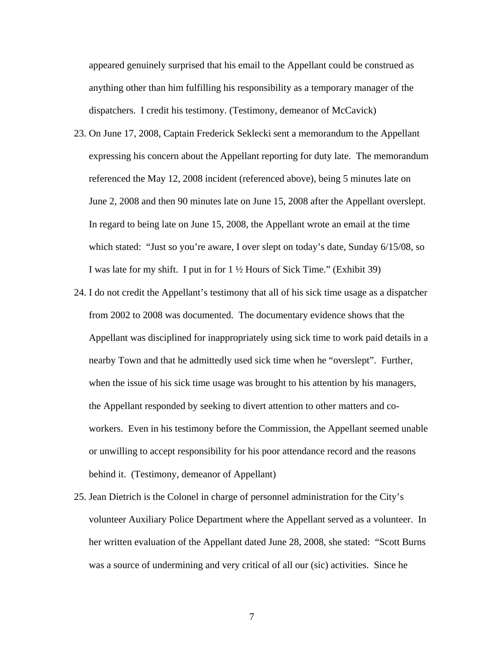appeared genuinely surprised that his email to the Appellant could be construed as anything other than him fulfilling his responsibility as a temporary manager of the dispatchers. I credit his testimony. (Testimony, demeanor of McCavick)

- 23. On June 17, 2008, Captain Frederick Seklecki sent a memorandum to the Appellant expressing his concern about the Appellant reporting for duty late. The memorandum referenced the May 12, 2008 incident (referenced above), being 5 minutes late on June 2, 2008 and then 90 minutes late on June 15, 2008 after the Appellant overslept. In regard to being late on June 15, 2008, the Appellant wrote an email at the time which stated: "Just so you're aware, I over slept on today's date, Sunday 6/15/08, so I was late for my shift. I put in for 1 ½ Hours of Sick Time." (Exhibit 39)
- 24. I do not credit the Appellant's testimony that all of his sick time usage as a dispatcher from 2002 to 2008 was documented. The documentary evidence shows that the Appellant was disciplined for inappropriately using sick time to work paid details in a nearby Town and that he admittedly used sick time when he "overslept". Further, when the issue of his sick time usage was brought to his attention by his managers, the Appellant responded by seeking to divert attention to other matters and coworkers. Even in his testimony before the Commission, the Appellant seemed unable or unwilling to accept responsibility for his poor attendance record and the reasons behind it. (Testimony, demeanor of Appellant)
- 25. Jean Dietrich is the Colonel in charge of personnel administration for the City's volunteer Auxiliary Police Department where the Appellant served as a volunteer. In her written evaluation of the Appellant dated June 28, 2008, she stated: "Scott Burns was a source of undermining and very critical of all our (sic) activities. Since he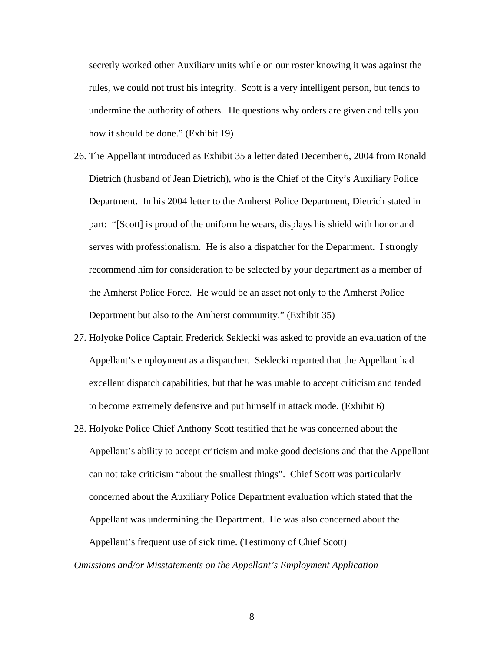secretly worked other Auxiliary units while on our roster knowing it was against the rules, we could not trust his integrity. Scott is a very intelligent person, but tends to undermine the authority of others. He questions why orders are given and tells you how it should be done." (Exhibit 19)

- 26. The Appellant introduced as Exhibit 35 a letter dated December 6, 2004 from Ronald Dietrich (husband of Jean Dietrich), who is the Chief of the City's Auxiliary Police Department. In his 2004 letter to the Amherst Police Department, Dietrich stated in part: "[Scott] is proud of the uniform he wears, displays his shield with honor and serves with professionalism. He is also a dispatcher for the Department. I strongly recommend him for consideration to be selected by your department as a member of the Amherst Police Force. He would be an asset not only to the Amherst Police Department but also to the Amherst community." (Exhibit 35)
- 27. Holyoke Police Captain Frederick Seklecki was asked to provide an evaluation of the Appellant's employment as a dispatcher. Seklecki reported that the Appellant had excellent dispatch capabilities, but that he was unable to accept criticism and tended to become extremely defensive and put himself in attack mode. (Exhibit 6)
- 28. Holyoke Police Chief Anthony Scott testified that he was concerned about the Appellant's ability to accept criticism and make good decisions and that the Appellant can not take criticism "about the smallest things". Chief Scott was particularly concerned about the Auxiliary Police Department evaluation which stated that the Appellant was undermining the Department. He was also concerned about the Appellant's frequent use of sick time. (Testimony of Chief Scott)

*Omissions and/or Misstatements on the Appellant's Employment Application*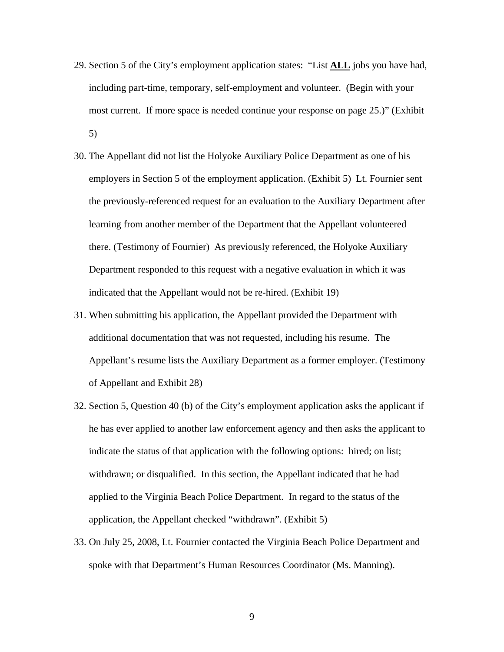- 29. Section 5 of the City's employment application states: "List **ALL** jobs you have had, including part-time, temporary, self-employment and volunteer. (Begin with your most current. If more space is needed continue your response on page 25.)" (Exhibit 5)
- 30. The Appellant did not list the Holyoke Auxiliary Police Department as one of his employers in Section 5 of the employment application. (Exhibit 5) Lt. Fournier sent the previously-referenced request for an evaluation to the Auxiliary Department after learning from another member of the Department that the Appellant volunteered there. (Testimony of Fournier) As previously referenced, the Holyoke Auxiliary Department responded to this request with a negative evaluation in which it was indicated that the Appellant would not be re-hired. (Exhibit 19)
- 31. When submitting his application, the Appellant provided the Department with additional documentation that was not requested, including his resume. The Appellant's resume lists the Auxiliary Department as a former employer. (Testimony of Appellant and Exhibit 28)
- 32. Section 5, Question 40 (b) of the City's employment application asks the applicant if he has ever applied to another law enforcement agency and then asks the applicant to indicate the status of that application with the following options: hired; on list; withdrawn; or disqualified. In this section, the Appellant indicated that he had applied to the Virginia Beach Police Department. In regard to the status of the application, the Appellant checked "withdrawn". (Exhibit 5)
- 33. On July 25, 2008, Lt. Fournier contacted the Virginia Beach Police Department and spoke with that Department's Human Resources Coordinator (Ms. Manning).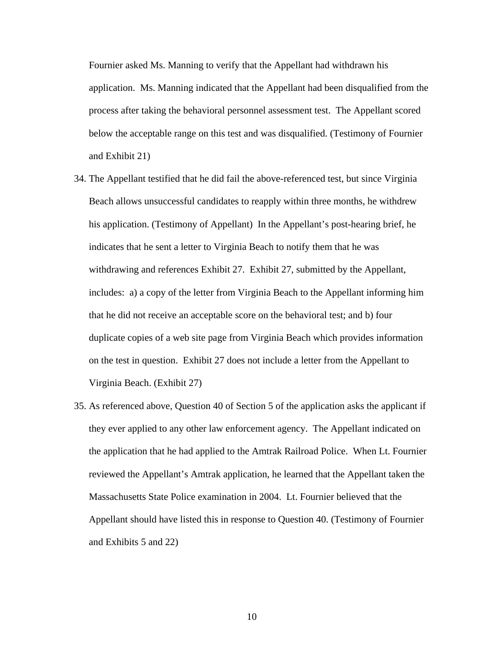Fournier asked Ms. Manning to verify that the Appellant had withdrawn his application. Ms. Manning indicated that the Appellant had been disqualified from the process after taking the behavioral personnel assessment test. The Appellant scored below the acceptable range on this test and was disqualified. (Testimony of Fournier and Exhibit 21)

- 34. The Appellant testified that he did fail the above-referenced test, but since Virginia Beach allows unsuccessful candidates to reapply within three months, he withdrew his application. (Testimony of Appellant) In the Appellant's post-hearing brief, he indicates that he sent a letter to Virginia Beach to notify them that he was withdrawing and references Exhibit 27. Exhibit 27, submitted by the Appellant, includes: a) a copy of the letter from Virginia Beach to the Appellant informing him that he did not receive an acceptable score on the behavioral test; and b) four duplicate copies of a web site page from Virginia Beach which provides information on the test in question. Exhibit 27 does not include a letter from the Appellant to Virginia Beach. (Exhibit 27)
- 35. As referenced above, Question 40 of Section 5 of the application asks the applicant if they ever applied to any other law enforcement agency. The Appellant indicated on the application that he had applied to the Amtrak Railroad Police. When Lt. Fournier reviewed the Appellant's Amtrak application, he learned that the Appellant taken the Massachusetts State Police examination in 2004. Lt. Fournier believed that the Appellant should have listed this in response to Question 40. (Testimony of Fournier and Exhibits 5 and 22)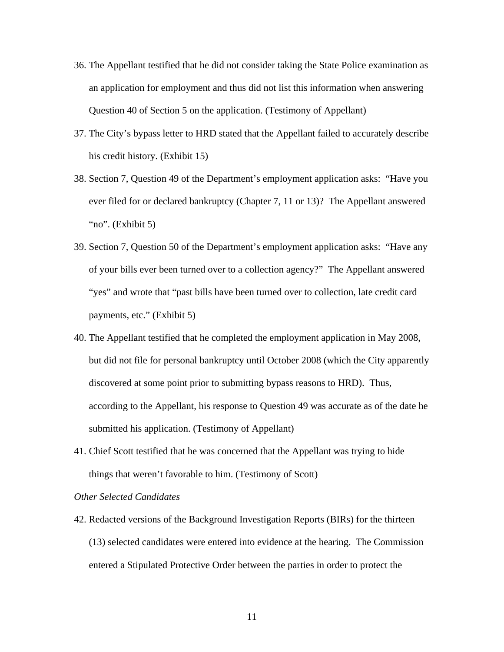- 36. The Appellant testified that he did not consider taking the State Police examination as an application for employment and thus did not list this information when answering Question 40 of Section 5 on the application. (Testimony of Appellant)
- 37. The City's bypass letter to HRD stated that the Appellant failed to accurately describe his credit history. (Exhibit 15)
- 38. Section 7, Question 49 of the Department's employment application asks: "Have you ever filed for or declared bankruptcy (Chapter 7, 11 or 13)? The Appellant answered "no". (Exhibit 5)
- 39. Section 7, Question 50 of the Department's employment application asks: "Have any of your bills ever been turned over to a collection agency?" The Appellant answered "yes" and wrote that "past bills have been turned over to collection, late credit card payments, etc." (Exhibit 5)
- 40. The Appellant testified that he completed the employment application in May 2008, but did not file for personal bankruptcy until October 2008 (which the City apparently discovered at some point prior to submitting bypass reasons to HRD). Thus, according to the Appellant, his response to Question 49 was accurate as of the date he submitted his application. (Testimony of Appellant)
- 41. Chief Scott testified that he was concerned that the Appellant was trying to hide things that weren't favorable to him. (Testimony of Scott)

### *Other Selected Candidates*

42. Redacted versions of the Background Investigation Reports (BIRs) for the thirteen (13) selected candidates were entered into evidence at the hearing. The Commission entered a Stipulated Protective Order between the parties in order to protect the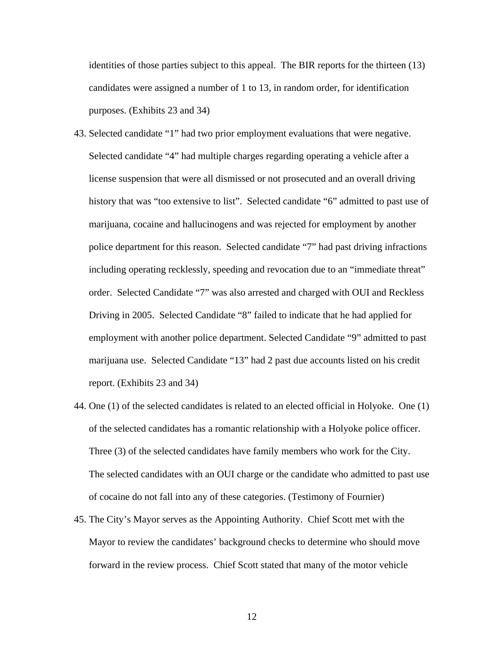identities of those parties subject to this appeal. The BIR reports for the thirteen (13) candidates were assigned a number of 1 to 13, in random order, for identification purposes. (Exhibits 23 and 34)

- 43. Selected candidate "1" had two prior employment evaluations that were negative. Selected candidate "4" had multiple charges regarding operating a vehicle after a license suspension that were all dismissed or not prosecuted and an overall driving history that was "too extensive to list". Selected candidate "6" admitted to past use of marijuana, cocaine and hallucinogens and was rejected for employment by another police department for this reason. Selected candidate "7" had past driving infractions including operating recklessly, speeding and revocation due to an "immediate threat" order. Selected Candidate "7" was also arrested and charged with OUI and Reckless Driving in 2005. Selected Candidate "8" failed to indicate that he had applied for employment with another police department. Selected Candidate "9" admitted to past marijuana use. Selected Candidate "13" had 2 past due accounts listed on his credit report. (Exhibits 23 and 34)
- 44. One (1) of the selected candidates is related to an elected official in Holyoke. One (1) of the selected candidates has a romantic relationship with a Holyoke police officer. Three (3) of the selected candidates have family members who work for the City. The selected candidates with an OUI charge or the candidate who admitted to past use of cocaine do not fall into any of these categories. (Testimony of Fournier)
- 45. The City's Mayor serves as the Appointing Authority. Chief Scott met with the Mayor to review the candidates' background checks to determine who should move forward in the review process. Chief Scott stated that many of the motor vehicle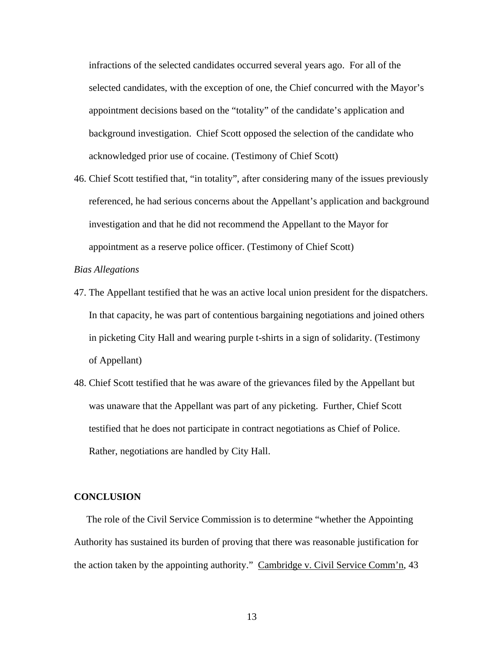infractions of the selected candidates occurred several years ago. For all of the selected candidates, with the exception of one, the Chief concurred with the Mayor's appointment decisions based on the "totality" of the candidate's application and background investigation. Chief Scott opposed the selection of the candidate who acknowledged prior use of cocaine. (Testimony of Chief Scott)

46. Chief Scott testified that, "in totality", after considering many of the issues previously referenced, he had serious concerns about the Appellant's application and background investigation and that he did not recommend the Appellant to the Mayor for appointment as a reserve police officer. (Testimony of Chief Scott)

### *Bias Allegations*

- 47. The Appellant testified that he was an active local union president for the dispatchers. In that capacity, he was part of contentious bargaining negotiations and joined others in picketing City Hall and wearing purple t-shirts in a sign of solidarity. (Testimony of Appellant)
- 48. Chief Scott testified that he was aware of the grievances filed by the Appellant but was unaware that the Appellant was part of any picketing. Further, Chief Scott testified that he does not participate in contract negotiations as Chief of Police. Rather, negotiations are handled by City Hall.

#### **CONCLUSION**

 The role of the Civil Service Commission is to determine "whether the Appointing Authority has sustained its burden of proving that there was reasonable justification for the action taken by the appointing authority." Cambridge v. Civil Service Comm'n, 43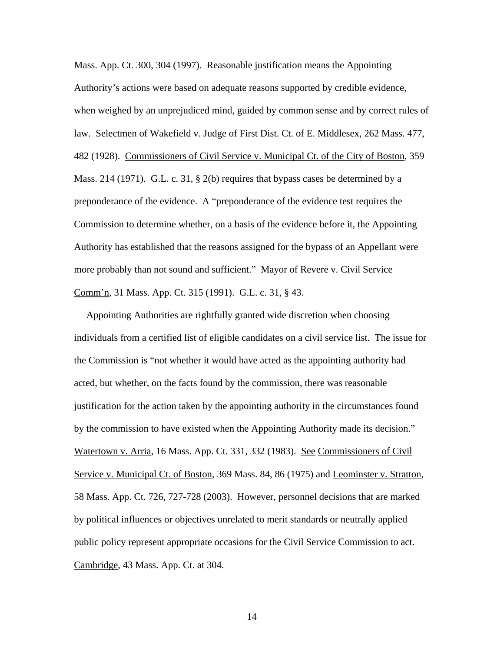Mass. App. Ct. 300, 304 (1997). Reasonable justification means the Appointing Authority's actions were based on adequate reasons supported by credible evidence, when weighed by an unprejudiced mind, guided by common sense and by correct rules of law. Selectmen of Wakefield v. Judge of First Dist. Ct. of E. Middlesex, 262 Mass. 477, 482 (1928). Commissioners of Civil Service v. Municipal Ct. of the City of Boston, 359 Mass. 214 (1971). G.L. c. 31, § 2(b) requires that bypass cases be determined by a preponderance of the evidence. A "preponderance of the evidence test requires the Commission to determine whether, on a basis of the evidence before it, the Appointing Authority has established that the reasons assigned for the bypass of an Appellant were more probably than not sound and sufficient." Mayor of Revere v. Civil Service Comm'n, 31 Mass. App. Ct. 315 (1991). G.L. c. 31, § 43.

 Appointing Authorities are rightfully granted wide discretion when choosing individuals from a certified list of eligible candidates on a civil service list. The issue for the Commission is "not whether it would have acted as the appointing authority had acted, but whether, on the facts found by the commission, there was reasonable justification for the action taken by the appointing authority in the circumstances found by the commission to have existed when the Appointing Authority made its decision." Watertown v. Arria, 16 Mass. App. Ct. 331, 332 (1983). See Commissioners of Civil Service v. Municipal Ct. of Boston, 369 Mass. 84, 86 (1975) and Leominster v. Stratton, 58 Mass. App. Ct. 726, 727-728 (2003). However, personnel decisions that are marked by political influences or objectives unrelated to merit standards or neutrally applied public policy represent appropriate occasions for the Civil Service Commission to act. Cambridge, 43 Mass. App. Ct. at 304.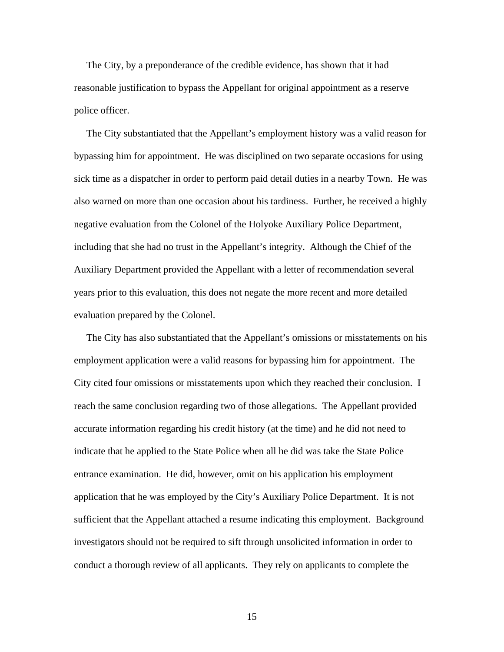The City, by a preponderance of the credible evidence, has shown that it had reasonable justification to bypass the Appellant for original appointment as a reserve police officer.

 The City substantiated that the Appellant's employment history was a valid reason for bypassing him for appointment. He was disciplined on two separate occasions for using sick time as a dispatcher in order to perform paid detail duties in a nearby Town. He was also warned on more than one occasion about his tardiness. Further, he received a highly negative evaluation from the Colonel of the Holyoke Auxiliary Police Department, including that she had no trust in the Appellant's integrity. Although the Chief of the Auxiliary Department provided the Appellant with a letter of recommendation several years prior to this evaluation, this does not negate the more recent and more detailed evaluation prepared by the Colonel.

 The City has also substantiated that the Appellant's omissions or misstatements on his employment application were a valid reasons for bypassing him for appointment. The City cited four omissions or misstatements upon which they reached their conclusion. I reach the same conclusion regarding two of those allegations. The Appellant provided accurate information regarding his credit history (at the time) and he did not need to indicate that he applied to the State Police when all he did was take the State Police entrance examination. He did, however, omit on his application his employment application that he was employed by the City's Auxiliary Police Department. It is not sufficient that the Appellant attached a resume indicating this employment. Background investigators should not be required to sift through unsolicited information in order to conduct a thorough review of all applicants. They rely on applicants to complete the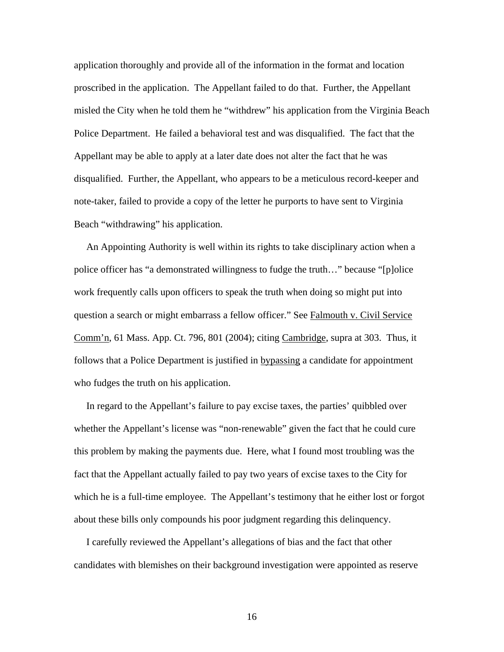application thoroughly and provide all of the information in the format and location proscribed in the application. The Appellant failed to do that. Further, the Appellant misled the City when he told them he "withdrew" his application from the Virginia Beach Police Department. He failed a behavioral test and was disqualified. The fact that the Appellant may be able to apply at a later date does not alter the fact that he was disqualified. Further, the Appellant, who appears to be a meticulous record-keeper and note-taker, failed to provide a copy of the letter he purports to have sent to Virginia Beach "withdrawing" his application.

 An Appointing Authority is well within its rights to take disciplinary action when a police officer has "a demonstrated willingness to fudge the truth…" because "[p]olice work frequently calls upon officers to speak the truth when doing so might put into question a search or might embarrass a fellow officer." See Falmouth v. Civil Service Comm'n, 61 Mass. App. Ct. 796, 801 (2004); citing Cambridge, supra at 303. Thus, it follows that a Police Department is justified in bypassing a candidate for appointment who fudges the truth on his application.

 In regard to the Appellant's failure to pay excise taxes, the parties' quibbled over whether the Appellant's license was "non-renewable" given the fact that he could cure this problem by making the payments due. Here, what I found most troubling was the fact that the Appellant actually failed to pay two years of excise taxes to the City for which he is a full-time employee. The Appellant's testimony that he either lost or forgot about these bills only compounds his poor judgment regarding this delinquency.

 I carefully reviewed the Appellant's allegations of bias and the fact that other candidates with blemishes on their background investigation were appointed as reserve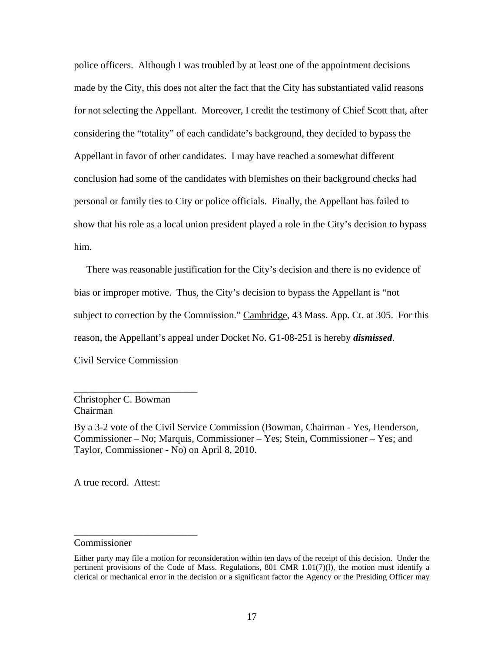police officers. Although I was troubled by at least one of the appointment decisions made by the City, this does not alter the fact that the City has substantiated valid reasons for not selecting the Appellant. Moreover, I credit the testimony of Chief Scott that, after considering the "totality" of each candidate's background, they decided to bypass the Appellant in favor of other candidates. I may have reached a somewhat different conclusion had some of the candidates with blemishes on their background checks had personal or family ties to City or police officials. Finally, the Appellant has failed to show that his role as a local union president played a role in the City's decision to bypass him.

 There was reasonable justification for the City's decision and there is no evidence of bias or improper motive. Thus, the City's decision to bypass the Appellant is "not subject to correction by the Commission." Cambridge, 43 Mass. App. Ct. at 305. For this reason, the Appellant's appeal under Docket No. G1-08-251 is hereby *dismissed*. Civil Service Commission

Christopher C. Bowman Chairman

\_\_\_\_\_\_\_\_\_\_\_\_\_\_\_\_\_\_\_\_\_\_\_\_\_

\_\_\_\_\_\_\_\_\_\_\_\_\_\_\_\_\_\_\_\_\_\_\_\_\_

By a 3-2 vote of the Civil Service Commission (Bowman, Chairman - Yes, Henderson, Commissioner – No; Marquis, Commissioner – Yes; Stein, Commissioner – Yes; and Taylor, Commissioner - No) on April 8, 2010.

A true record. Attest:

Commissioner

Either party may file a motion for reconsideration within ten days of the receipt of this decision. Under the pertinent provisions of the Code of Mass. Regulations, 801 CMR 1.01(7)(l), the motion must identify a clerical or mechanical error in the decision or a significant factor the Agency or the Presiding Officer may